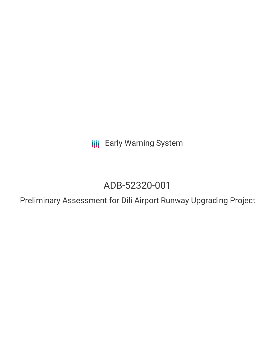**III** Early Warning System

# ADB-52320-001

Preliminary Assessment for Dili Airport Runway Upgrading Project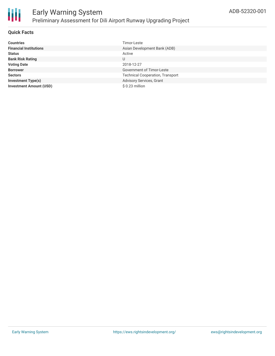

#### **Quick Facts**

| <b>Countries</b>               | Timor-Leste                             |
|--------------------------------|-----------------------------------------|
| <b>Financial Institutions</b>  | Asian Development Bank (ADB)            |
| <b>Status</b>                  | Active                                  |
| <b>Bank Risk Rating</b>        | U                                       |
| <b>Voting Date</b>             | 2018-12-27                              |
| <b>Borrower</b>                | Government of Timor-Leste               |
| <b>Sectors</b>                 | <b>Technical Cooperation, Transport</b> |
| <b>Investment Type(s)</b>      | Advisory Services, Grant                |
| <b>Investment Amount (USD)</b> | $$0.23$ million                         |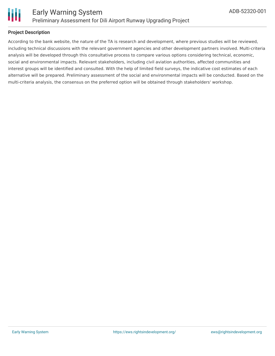

#### **Project Description**

According to the bank website, the nature of the TA is research and development, where previous studies will be reviewed, including technical discussions with the relevant government agencies and other development partners involved. Multi-criteria analysis will be developed through this consultative process to compare various options considering technical, economic, social and environmental impacts. Relevant stakeholders, including civil aviation authorities, affected communities and interest groups will be identified and consulted. With the help of limited field surveys, the indicative cost estimates of each alternative will be prepared. Preliminary assessment of the social and environmental impacts will be conducted. Based on the multi-criteria analysis, the consensus on the preferred option will be obtained through stakeholders' workshop.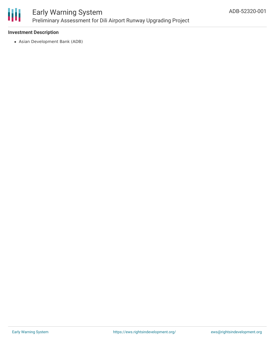

### Early Warning System Preliminary Assessment for Dili Airport Runway Upgrading Project

#### **Investment Description**

Asian Development Bank (ADB)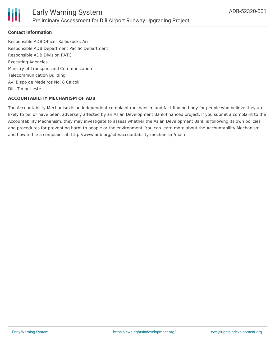

#### **Contact Information**

Responsible ADB Officer Kalliokoski, Ari Responsible ADB Department Pacific Department Responsible ADB Division PATC Executing Agencies Ministry of Transport and Communication Telecommunication Building Av. Bispo de Medeiros No. 8 Caicoli Dili, Timor-Leste

#### **ACCOUNTABILITY MECHANISM OF ADB**

The Accountability Mechanism is an independent complaint mechanism and fact-finding body for people who believe they are likely to be, or have been, adversely affected by an Asian Development Bank-financed project. If you submit a complaint to the Accountability Mechanism, they may investigate to assess whether the Asian Development Bank is following its own policies and procedures for preventing harm to people or the environment. You can learn more about the Accountability Mechanism and how to file a complaint at: http://www.adb.org/site/accountability-mechanism/main